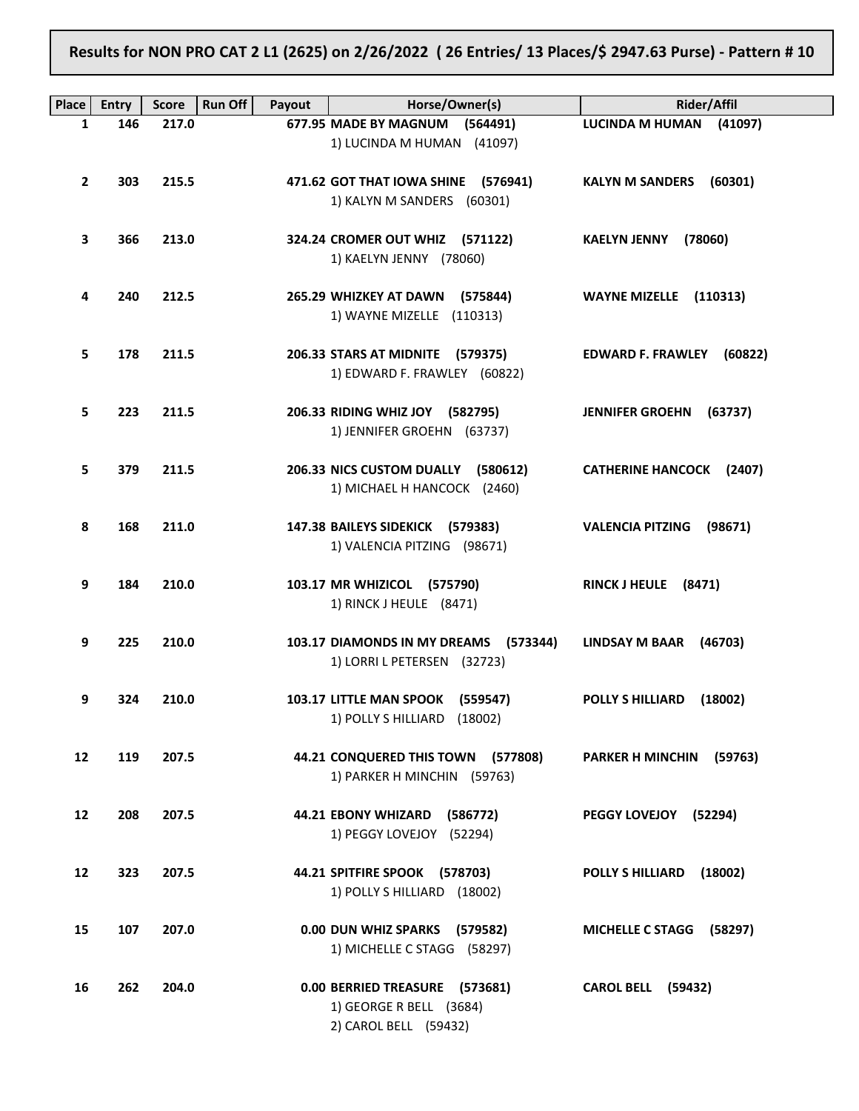Results for NON PRO CAT 2 L1 (2625) on 2/26/2022 ( 26 Entries/ 13 Places/\$ 2947.63 Purse) - Pattern # 10

| <b>Place</b> | <b>Entry</b> | <b>Score</b> | <b>Run Off</b><br>Payout | Horse/Owner(s)                                                                     | <b>Rider/Affil</b>                  |
|--------------|--------------|--------------|--------------------------|------------------------------------------------------------------------------------|-------------------------------------|
| $\mathbf{1}$ | 146          | 217.0        |                          | 677.95 MADE BY MAGNUM (564491)                                                     | <b>LUCINDA M HUMAN</b><br>(41097)   |
|              |              |              |                          | 1) LUCINDA M HUMAN (41097)                                                         |                                     |
| $\mathbf{2}$ | 303          | 215.5        |                          | 471.62 GOT THAT IOWA SHINE (576941)<br>1) KALYN M SANDERS (60301)                  | <b>KALYN M SANDERS</b><br>(60301)   |
| 3            | 366          | 213.0        |                          | 324.24 CROMER OUT WHIZ (571122)<br>1) KAELYN JENNY (78060)                         | <b>KAELYN JENNY</b><br>(78060)      |
| 4            | 240          | 212.5        |                          | 265.29 WHIZKEY AT DAWN (575844)<br>1) WAYNE MIZELLE (110313)                       | WAYNE MIZELLE (110313)              |
| 5            | 178          | 211.5        |                          | 206.33 STARS AT MIDNITE (579375)<br>1) EDWARD F. FRAWLEY (60822)                   | <b>EDWARD F. FRAWLEY</b><br>(60822) |
| 5.           | 223          | 211.5        |                          | 206.33 RIDING WHIZ JOY (582795)<br>1) JENNIFER GROEHN (63737)                      | <b>JENNIFER GROEHN</b><br>(63737)   |
| 5            | 379          | 211.5        |                          | 206.33 NICS CUSTOM DUALLY (580612)<br>1) MICHAEL H HANCOCK (2460)                  | <b>CATHERINE HANCOCK (2407)</b>     |
| 8            | 168          | 211.0        |                          | 147.38 BAILEYS SIDEKICK (579383)<br>1) VALENCIA PITZING (98671)                    | <b>VALENCIA PITZING</b><br>(98671)  |
| 9            | 184          | 210.0        |                          | 103.17 MR WHIZICOL (575790)<br>1) RINCK J HEULE (8471)                             | <b>RINCK J HEULE</b><br>(8471)      |
| 9            | 225          | 210.0        |                          | 103.17 DIAMONDS IN MY DREAMS<br>(573344)<br>1) LORRI L PETERSEN (32723)            | <b>LINDSAY M BAAR</b><br>(46703)    |
| 9            | 324          | 210.0        |                          | 103.17 LITTLE MAN SPOOK (559547)<br>1) POLLY S HILLIARD (18002)                    | <b>POLLY S HILLIARD</b><br>(18002)  |
| 12           | 119          | 207.5        |                          | 44.21 CONQUERED THIS TOWN (577808)<br>1) PARKER H MINCHIN (59763)                  | <b>PARKER H MINCHIN</b><br>(59763)  |
| 12           | 208          | 207.5        |                          | 44.21 EBONY WHIZARD (586772)<br>1) PEGGY LOVEJOY (52294)                           | PEGGY LOVEJOY<br>(52294)            |
| 12           | 323          | 207.5        |                          | 44.21 SPITFIRE SPOOK (578703)<br>1) POLLY S HILLIARD (18002)                       | <b>POLLY S HILLIARD</b><br>(18002)  |
| 15           | 107          | 207.0        |                          | 0.00 DUN WHIZ SPARKS (579582)<br>1) MICHELLE C STAGG (58297)                       | <b>MICHELLE C STAGG</b><br>(58297)  |
| 16           | 262          | 204.0        |                          | 0.00 BERRIED TREASURE (573681)<br>1) GEORGE R BELL (3684)<br>2) CAROL BELL (59432) | <b>CAROL BELL (59432)</b>           |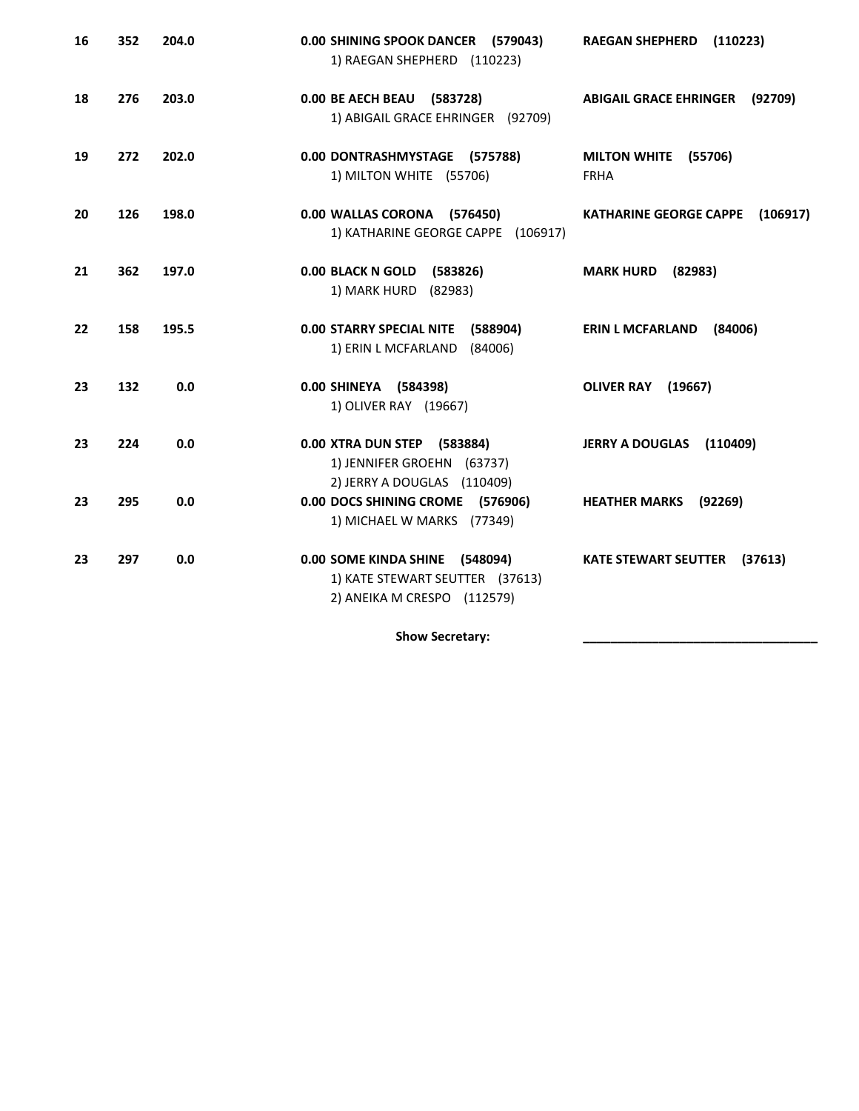| 16 | 352 | 204.0 | 0.00 SHINING SPOOK DANCER (579043)<br>1) RAEGAN SHEPHERD (110223)                                | (110223)<br><b>RAEGAN SHEPHERD</b>            |
|----|-----|-------|--------------------------------------------------------------------------------------------------|-----------------------------------------------|
| 18 | 276 | 203.0 | 0.00 BE AECH BEAU (583728)<br>1) ABIGAIL GRACE EHRINGER (92709)                                  | <b>ABIGAIL GRACE EHRINGER</b><br>(92709)      |
| 19 | 272 | 202.0 | 0.00 DONTRASHMYSTAGE (575788)<br>1) MILTON WHITE (55706)                                         | <b>MILTON WHITE</b><br>(55706)<br><b>FRHA</b> |
| 20 | 126 | 198.0 | 0.00 WALLAS CORONA (576450)<br>1) KATHARINE GEORGE CAPPE (106917)                                | <b>KATHARINE GEORGE CAPPE</b><br>(106917)     |
| 21 | 362 | 197.0 | 0.00 BLACK N GOLD (583826)<br>1) MARK HURD (82983)                                               | <b>MARK HURD</b><br>(82983)                   |
| 22 | 158 | 195.5 | <b>0.00 STARRY SPECIAL NITE</b><br>(588904)<br>1) ERIN L MCFARLAND (84006)                       | <b>ERIN L MCFARLAND</b><br>(84006)            |
| 23 | 132 | 0.0   | 0.00 SHINEYA (584398)<br>1) OLIVER RAY (19667)                                                   | <b>OLIVER RAY</b><br>(19667)                  |
| 23 | 224 | 0.0   | 0.00 XTRA DUN STEP (583884)<br>1) JENNIFER GROEHN (63737)<br>2) JERRY A DOUGLAS (110409)         | JERRY A DOUGLAS (110409)                      |
| 23 | 295 | 0.0   | 0.00 DOCS SHINING CROME (576906)<br>1) MICHAEL W MARKS (77349)                                   | <b>HEATHER MARKS</b><br>(92269)               |
| 23 | 297 | 0.0   | 0.00 SOME KINDA SHINE (548094)<br>1) KATE STEWART SEUTTER (37613)<br>2) ANEIKA M CRESPO (112579) | <b>KATE STEWART SEUTTER</b><br>(37613)        |

Show Secretary: